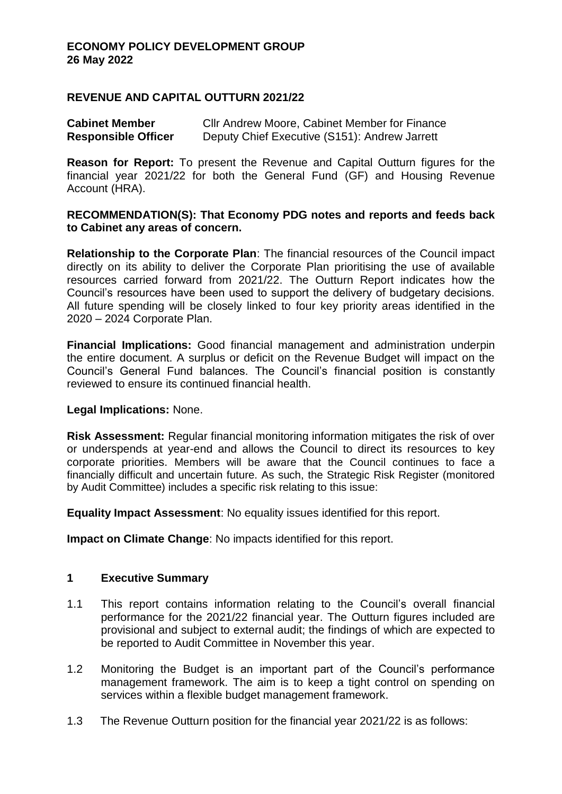#### **REVENUE AND CAPITAL OUTTURN 2021/22**

**Cabinet Member** Cllr Andrew Moore, Cabinet Member for Finance **Responsible Officer** Deputy Chief Executive (S151): Andrew Jarrett

**Reason for Report:** To present the Revenue and Capital Outturn figures for the financial year 2021/22 for both the General Fund (GF) and Housing Revenue Account (HRA).

#### **RECOMMENDATION(S): That Economy PDG notes and reports and feeds back to Cabinet any areas of concern.**

**Relationship to the Corporate Plan**: The financial resources of the Council impact directly on its ability to deliver the Corporate Plan prioritising the use of available resources carried forward from 2021/22. The Outturn Report indicates how the Council's resources have been used to support the delivery of budgetary decisions. All future spending will be closely linked to four key priority areas identified in the 2020 – 2024 Corporate Plan.

**Financial Implications:** Good financial management and administration underpin the entire document. A surplus or deficit on the Revenue Budget will impact on the Council's General Fund balances. The Council's financial position is constantly reviewed to ensure its continued financial health.

#### **Legal Implications:** None.

**Risk Assessment:** Regular financial monitoring information mitigates the risk of over or underspends at year-end and allows the Council to direct its resources to key corporate priorities. Members will be aware that the Council continues to face a financially difficult and uncertain future. As such, the Strategic Risk Register (monitored by Audit Committee) includes a specific risk relating to this issue:

**Equality Impact Assessment**: No equality issues identified for this report.

**Impact on Climate Change**: No impacts identified for this report.

#### **1 Executive Summary**

- 1.1 This report contains information relating to the Council's overall financial performance for the 2021/22 financial year. The Outturn figures included are provisional and subject to external audit; the findings of which are expected to be reported to Audit Committee in November this year.
- 1.2 Monitoring the Budget is an important part of the Council's performance management framework. The aim is to keep a tight control on spending on services within a flexible budget management framework.
- 1.3 The Revenue Outturn position for the financial year 2021/22 is as follows: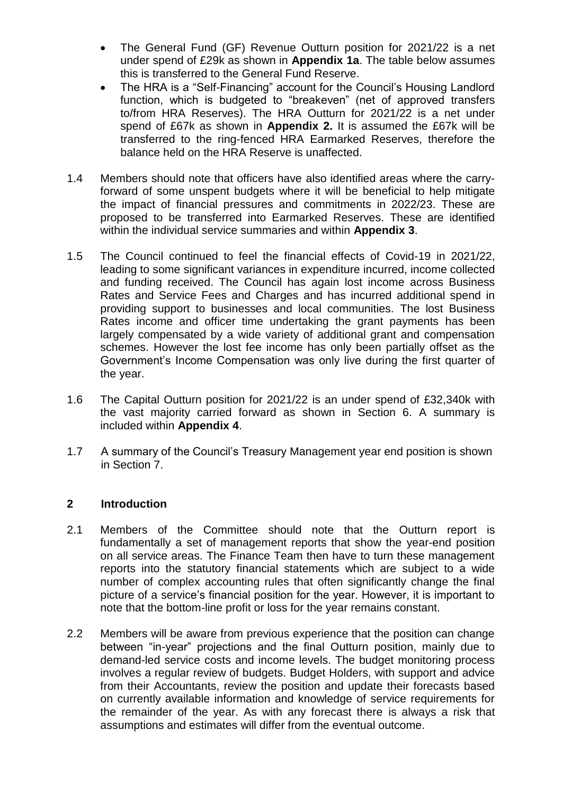- The General Fund (GF) Revenue Outturn position for 2021/22 is a net under spend of £29k as shown in **Appendix 1a**. The table below assumes this is transferred to the General Fund Reserve.
- The HRA is a "Self-Financing" account for the Council's Housing Landlord function, which is budgeted to "breakeven" (net of approved transfers to/from HRA Reserves). The HRA Outturn for 2021/22 is a net under spend of £67k as shown in **Appendix 2.** It is assumed the £67k will be transferred to the ring-fenced HRA Earmarked Reserves, therefore the balance held on the HRA Reserve is unaffected.
- 1.4 Members should note that officers have also identified areas where the carryforward of some unspent budgets where it will be beneficial to help mitigate the impact of financial pressures and commitments in 2022/23. These are proposed to be transferred into Earmarked Reserves. These are identified within the individual service summaries and within **Appendix 3**.
- 1.5 The Council continued to feel the financial effects of Covid-19 in 2021/22, leading to some significant variances in expenditure incurred, income collected and funding received. The Council has again lost income across Business Rates and Service Fees and Charges and has incurred additional spend in providing support to businesses and local communities. The lost Business Rates income and officer time undertaking the grant payments has been largely compensated by a wide variety of additional grant and compensation schemes. However the lost fee income has only been partially offset as the Government's Income Compensation was only live during the first quarter of the year.
- 1.6 The Capital Outturn position for 2021/22 is an under spend of £32,340k with the vast majority carried forward as shown in Section 6. A summary is included within **Appendix 4**.
- 1.7 A summary of the Council's Treasury Management year end position is shown in Section 7.

## **2 Introduction**

- 2.1 Members of the Committee should note that the Outturn report is fundamentally a set of management reports that show the year-end position on all service areas. The Finance Team then have to turn these management reports into the statutory financial statements which are subject to a wide number of complex accounting rules that often significantly change the final picture of a service's financial position for the year. However, it is important to note that the bottom-line profit or loss for the year remains constant.
- 2.2 Members will be aware from previous experience that the position can change between "in-year" projections and the final Outturn position, mainly due to demand-led service costs and income levels. The budget monitoring process involves a regular review of budgets. Budget Holders, with support and advice from their Accountants, review the position and update their forecasts based on currently available information and knowledge of service requirements for the remainder of the year. As with any forecast there is always a risk that assumptions and estimates will differ from the eventual outcome.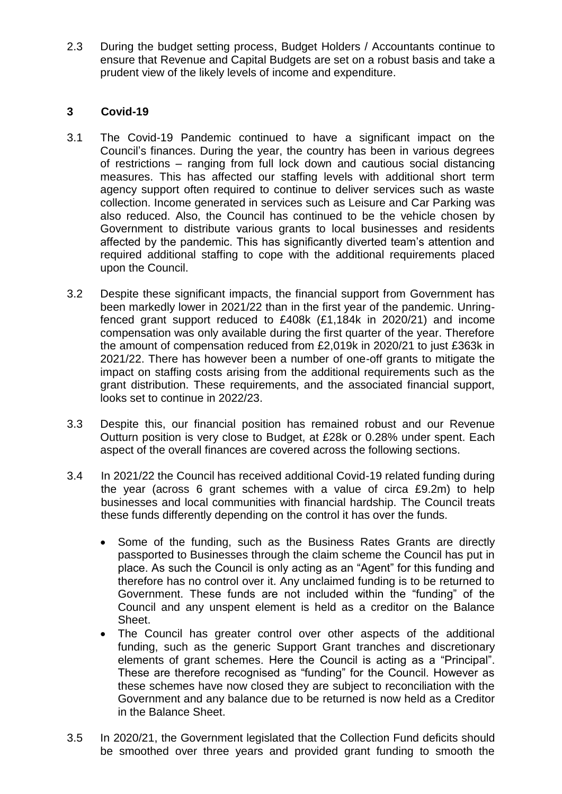2.3 During the budget setting process, Budget Holders / Accountants continue to ensure that Revenue and Capital Budgets are set on a robust basis and take a prudent view of the likely levels of income and expenditure.

### **3 Covid-19**

- 3.1 The Covid-19 Pandemic continued to have a significant impact on the Council's finances. During the year, the country has been in various degrees of restrictions – ranging from full lock down and cautious social distancing measures. This has affected our staffing levels with additional short term agency support often required to continue to deliver services such as waste collection. Income generated in services such as Leisure and Car Parking was also reduced. Also, the Council has continued to be the vehicle chosen by Government to distribute various grants to local businesses and residents affected by the pandemic. This has significantly diverted team's attention and required additional staffing to cope with the additional requirements placed upon the Council.
- 3.2 Despite these significant impacts, the financial support from Government has been markedly lower in 2021/22 than in the first year of the pandemic. Unringfenced grant support reduced to £408k (£1,184k in 2020/21) and income compensation was only available during the first quarter of the year. Therefore the amount of compensation reduced from £2,019k in 2020/21 to just £363k in 2021/22. There has however been a number of one-off grants to mitigate the impact on staffing costs arising from the additional requirements such as the grant distribution. These requirements, and the associated financial support, looks set to continue in 2022/23.
- 3.3 Despite this, our financial position has remained robust and our Revenue Outturn position is very close to Budget, at £28k or 0.28% under spent. Each aspect of the overall finances are covered across the following sections.
- 3.4 In 2021/22 the Council has received additional Covid-19 related funding during the year (across 6 grant schemes with a value of circa £9.2m) to help businesses and local communities with financial hardship. The Council treats these funds differently depending on the control it has over the funds.
	- Some of the funding, such as the Business Rates Grants are directly passported to Businesses through the claim scheme the Council has put in place. As such the Council is only acting as an "Agent" for this funding and therefore has no control over it. Any unclaimed funding is to be returned to Government. These funds are not included within the "funding" of the Council and any unspent element is held as a creditor on the Balance Sheet.
	- The Council has greater control over other aspects of the additional funding, such as the generic Support Grant tranches and discretionary elements of grant schemes. Here the Council is acting as a "Principal". These are therefore recognised as "funding" for the Council. However as these schemes have now closed they are subject to reconciliation with the Government and any balance due to be returned is now held as a Creditor in the Balance Sheet.
- 3.5 In 2020/21, the Government legislated that the Collection Fund deficits should be smoothed over three years and provided grant funding to smooth the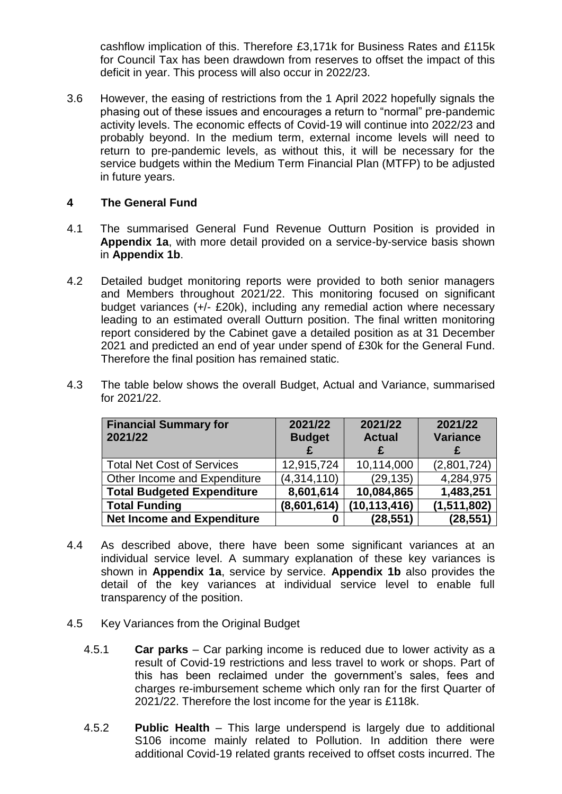cashflow implication of this. Therefore £3,171k for Business Rates and £115k for Council Tax has been drawdown from reserves to offset the impact of this deficit in year. This process will also occur in 2022/23.

3.6 However, the easing of restrictions from the 1 April 2022 hopefully signals the phasing out of these issues and encourages a return to "normal" pre-pandemic activity levels. The economic effects of Covid-19 will continue into 2022/23 and probably beyond. In the medium term, external income levels will need to return to pre-pandemic levels, as without this, it will be necessary for the service budgets within the Medium Term Financial Plan (MTFP) to be adjusted in future years.

### **4 The General Fund**

- 4.1 The summarised General Fund Revenue Outturn Position is provided in **Appendix 1a**, with more detail provided on a service-by-service basis shown in **Appendix 1b**.
- 4.2 Detailed budget monitoring reports were provided to both senior managers and Members throughout 2021/22. This monitoring focused on significant budget variances (+/- £20k), including any remedial action where necessary leading to an estimated overall Outturn position. The final written monitoring report considered by the Cabinet gave a detailed position as at 31 December 2021 and predicted an end of year under spend of £30k for the General Fund. Therefore the final position has remained static.
- 4.3 The table below shows the overall Budget, Actual and Variance, summarised for 2021/22.

| <b>Financial Summary for</b><br>2021/22 | 2021/22<br><b>Budget</b> | 2021/22<br><b>Actual</b> | 2021/22<br><b>Variance</b> |
|-----------------------------------------|--------------------------|--------------------------|----------------------------|
| <b>Total Net Cost of Services</b>       | 12,915,724               | 10,114,000               | (2,801,724)                |
| Other Income and Expenditure            | (4,314,110)              | (29, 135)                | 4,284,975                  |
| <b>Total Budgeted Expenditure</b>       | 8,601,614                | 10,084,865               | 1,483,251                  |
| <b>Total Funding</b>                    | (8,601,614)              | (10, 113, 416)           | (1,511,802)                |
| <b>Net Income and Expenditure</b>       | 0                        | (28, 551)                | (28, 551)                  |

- 4.4 As described above, there have been some significant variances at an individual service level. A summary explanation of these key variances is shown in **Appendix 1a**, service by service. **Appendix 1b** also provides the detail of the key variances at individual service level to enable full transparency of the position.
- 4.5 Key Variances from the Original Budget
	- 4.5.1 **Car parks** Car parking income is reduced due to lower activity as a result of Covid-19 restrictions and less travel to work or shops. Part of this has been reclaimed under the government's sales, fees and charges re-imbursement scheme which only ran for the first Quarter of 2021/22. Therefore the lost income for the year is £118k.
	- 4.5.2 **Public Health** This large underspend is largely due to additional S106 income mainly related to Pollution. In addition there were additional Covid-19 related grants received to offset costs incurred. The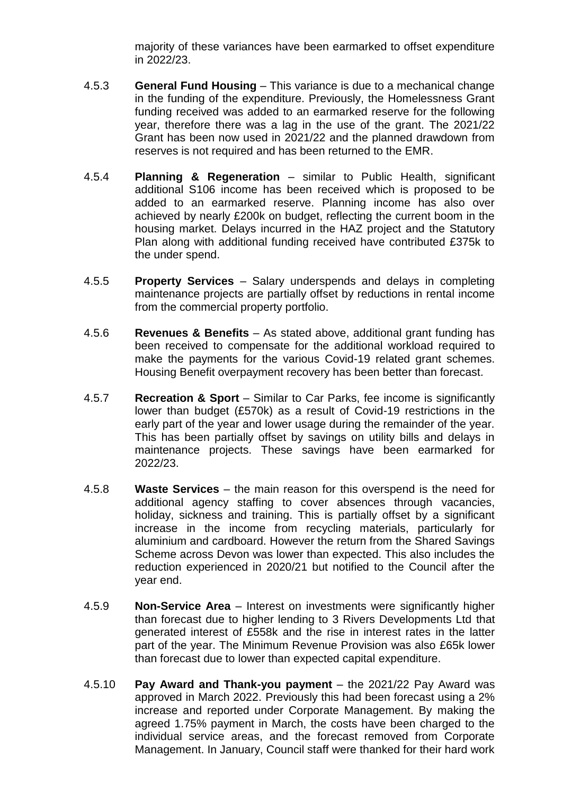majority of these variances have been earmarked to offset expenditure in 2022/23.

- 4.5.3 **General Fund Housing** This variance is due to a mechanical change in the funding of the expenditure. Previously, the Homelessness Grant funding received was added to an earmarked reserve for the following year, therefore there was a lag in the use of the grant. The 2021/22 Grant has been now used in 2021/22 and the planned drawdown from reserves is not required and has been returned to the EMR.
- 4.5.4 **Planning & Regeneration** similar to Public Health, significant additional S106 income has been received which is proposed to be added to an earmarked reserve. Planning income has also over achieved by nearly £200k on budget, reflecting the current boom in the housing market. Delays incurred in the HAZ project and the Statutory Plan along with additional funding received have contributed £375k to the under spend.
- 4.5.5 **Property Services**  Salary underspends and delays in completing maintenance projects are partially offset by reductions in rental income from the commercial property portfolio.
- 4.5.6 **Revenues & Benefits** As stated above, additional grant funding has been received to compensate for the additional workload required to make the payments for the various Covid-19 related grant schemes. Housing Benefit overpayment recovery has been better than forecast.
- 4.5.7 **Recreation & Sport** Similar to Car Parks, fee income is significantly lower than budget (£570k) as a result of Covid-19 restrictions in the early part of the year and lower usage during the remainder of the year. This has been partially offset by savings on utility bills and delays in maintenance projects. These savings have been earmarked for 2022/23.
- 4.5.8 **Waste Services** the main reason for this overspend is the need for additional agency staffing to cover absences through vacancies, holiday, sickness and training. This is partially offset by a significant increase in the income from recycling materials, particularly for aluminium and cardboard. However the return from the Shared Savings Scheme across Devon was lower than expected. This also includes the reduction experienced in 2020/21 but notified to the Council after the year end.
- 4.5.9 **Non-Service Area** Interest on investments were significantly higher than forecast due to higher lending to 3 Rivers Developments Ltd that generated interest of £558k and the rise in interest rates in the latter part of the year. The Minimum Revenue Provision was also £65k lower than forecast due to lower than expected capital expenditure.
- 4.5.10 **Pay Award and Thank-you payment** the 2021/22 Pay Award was approved in March 2022. Previously this had been forecast using a 2% increase and reported under Corporate Management. By making the agreed 1.75% payment in March, the costs have been charged to the individual service areas, and the forecast removed from Corporate Management. In January, Council staff were thanked for their hard work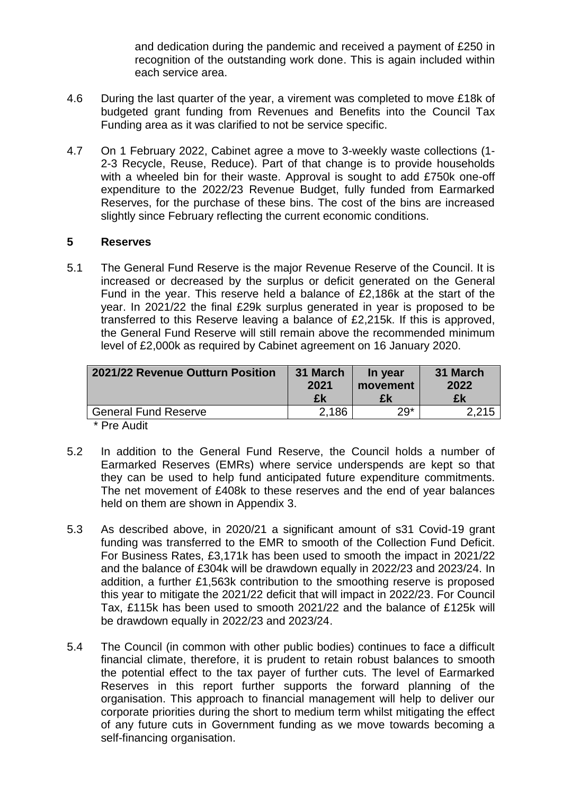and dedication during the pandemic and received a payment of £250 in recognition of the outstanding work done. This is again included within each service area.

- 4.6 During the last quarter of the year, a virement was completed to move £18k of budgeted grant funding from Revenues and Benefits into the Council Tax Funding area as it was clarified to not be service specific.
- 4.7 On 1 February 2022, Cabinet agree a move to 3-weekly waste collections (1- 2-3 Recycle, Reuse, Reduce). Part of that change is to provide households with a wheeled bin for their waste. Approval is sought to add £750k one-off expenditure to the 2022/23 Revenue Budget, fully funded from Earmarked Reserves, for the purchase of these bins. The cost of the bins are increased slightly since February reflecting the current economic conditions.

#### **5 Reserves**

5.1 The General Fund Reserve is the major Revenue Reserve of the Council. It is increased or decreased by the surplus or deficit generated on the General Fund in the year. This reserve held a balance of £2,186k at the start of the year. In 2021/22 the final £29k surplus generated in year is proposed to be transferred to this Reserve leaving a balance of £2,215k. If this is approved, the General Fund Reserve will still remain above the recommended minimum level of £2,000k as required by Cabinet agreement on 16 January 2020.

| 2021/22 Revenue Outturn Position                                                                                                                                                                                                                                                                                                                                                                                                                                                                                                                                                                            | 31 March<br>2021<br>£k | In year<br>movement<br>£k | 31 March<br>2022<br>£k |
|-------------------------------------------------------------------------------------------------------------------------------------------------------------------------------------------------------------------------------------------------------------------------------------------------------------------------------------------------------------------------------------------------------------------------------------------------------------------------------------------------------------------------------------------------------------------------------------------------------------|------------------------|---------------------------|------------------------|
| <b>General Fund Reserve</b>                                                                                                                                                                                                                                                                                                                                                                                                                                                                                                                                                                                 | 2.186                  | $29*$                     | 2,215                  |
| $* \nightharpoonup \nightharpoonup \nightharpoonup \nightharpoonup \nightharpoonup \nightharpoonup \nightharpoonup \nightharpoonup \nightharpoonup \nightharpoonup \nightharpoonup \nightharpoonup \nightharpoonup \nightharpoonup \nightharpoonup \nightharpoonup \nightharpoonup \nightharpoonup \nightharpoonup \nightharpoonup \nightharpoonup \nightharpoonup \nightharpoonup \nightharpoonup \nightharpoonup \nightharpoonup \nightharpoonup \nightharpoonup \nightharpoonup \nightharpoonup \nightharpoonup \nightharpoonup \nightharpoonup \nightharpoonup \nightharpoonup \nightharpoonup \nighth$ |                        |                           |                        |

**Pre Audit** 

- 5.2 In addition to the General Fund Reserve, the Council holds a number of Earmarked Reserves (EMRs) where service underspends are kept so that they can be used to help fund anticipated future expenditure commitments. The net movement of £408k to these reserves and the end of year balances held on them are shown in Appendix 3.
- 5.3 As described above, in 2020/21 a significant amount of s31 Covid-19 grant funding was transferred to the EMR to smooth of the Collection Fund Deficit. For Business Rates, £3,171k has been used to smooth the impact in 2021/22 and the balance of £304k will be drawdown equally in 2022/23 and 2023/24. In addition, a further £1,563k contribution to the smoothing reserve is proposed this year to mitigate the 2021/22 deficit that will impact in 2022/23. For Council Tax, £115k has been used to smooth 2021/22 and the balance of £125k will be drawdown equally in 2022/23 and 2023/24.
- 5.4 The Council (in common with other public bodies) continues to face a difficult financial climate, therefore, it is prudent to retain robust balances to smooth the potential effect to the tax payer of further cuts. The level of Earmarked Reserves in this report further supports the forward planning of the organisation. This approach to financial management will help to deliver our corporate priorities during the short to medium term whilst mitigating the effect of any future cuts in Government funding as we move towards becoming a self-financing organisation.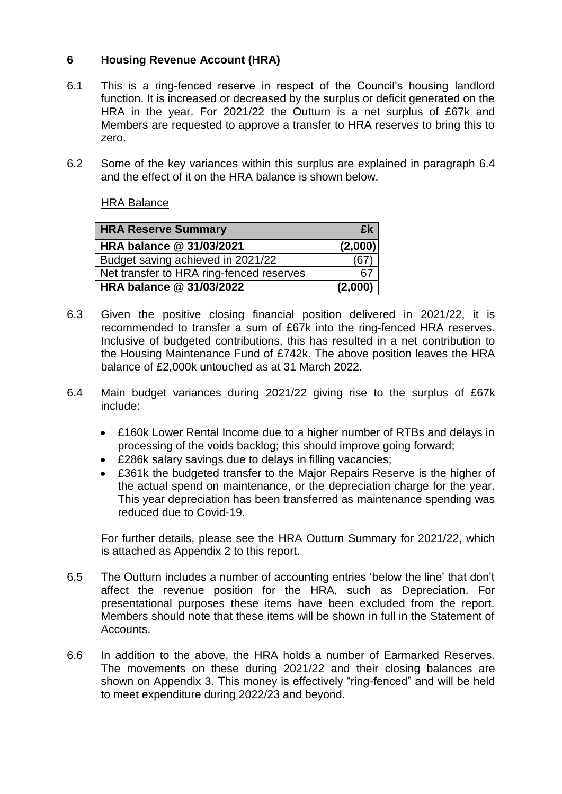## **6 Housing Revenue Account (HRA)**

- 6.1 This is a ring-fenced reserve in respect of the Council's housing landlord function. It is increased or decreased by the surplus or deficit generated on the HRA in the year. For 2021/22 the Outturn is a net surplus of £67k and Members are requested to approve a transfer to HRA reserves to bring this to zero.
- 6.2 Some of the key variances within this surplus are explained in paragraph 6.4 and the effect of it on the HRA balance is shown below.

## HRA Balance

| <b>HRA Reserve Summary</b>               | £k      |
|------------------------------------------|---------|
| HRA balance @ 31/03/2021                 | (2,000) |
| Budget saving achieved in 2021/22        |         |
| Net transfer to HRA ring-fenced reserves |         |
| HRA balance @ 31/03/2022                 | (2,000) |

- 6.3 Given the positive closing financial position delivered in 2021/22, it is recommended to transfer a sum of £67k into the ring-fenced HRA reserves. Inclusive of budgeted contributions, this has resulted in a net contribution to the Housing Maintenance Fund of £742k. The above position leaves the HRA balance of £2,000k untouched as at 31 March 2022.
- 6.4 Main budget variances during 2021/22 giving rise to the surplus of £67k include:
	- £160k Lower Rental Income due to a higher number of RTBs and delays in processing of the voids backlog; this should improve going forward;
	- £286k salary savings due to delays in filling vacancies;
	- £361k the budgeted transfer to the Major Repairs Reserve is the higher of the actual spend on maintenance, or the depreciation charge for the year. This year depreciation has been transferred as maintenance spending was reduced due to Covid-19.

For further details, please see the HRA Outturn Summary for 2021/22, which is attached as Appendix 2 to this report.

- 6.5 The Outturn includes a number of accounting entries 'below the line' that don't affect the revenue position for the HRA, such as Depreciation. For presentational purposes these items have been excluded from the report. Members should note that these items will be shown in full in the Statement of Accounts.
- 6.6 In addition to the above, the HRA holds a number of Earmarked Reserves. The movements on these during 2021/22 and their closing balances are shown on Appendix 3. This money is effectively "ring-fenced" and will be held to meet expenditure during 2022/23 and beyond.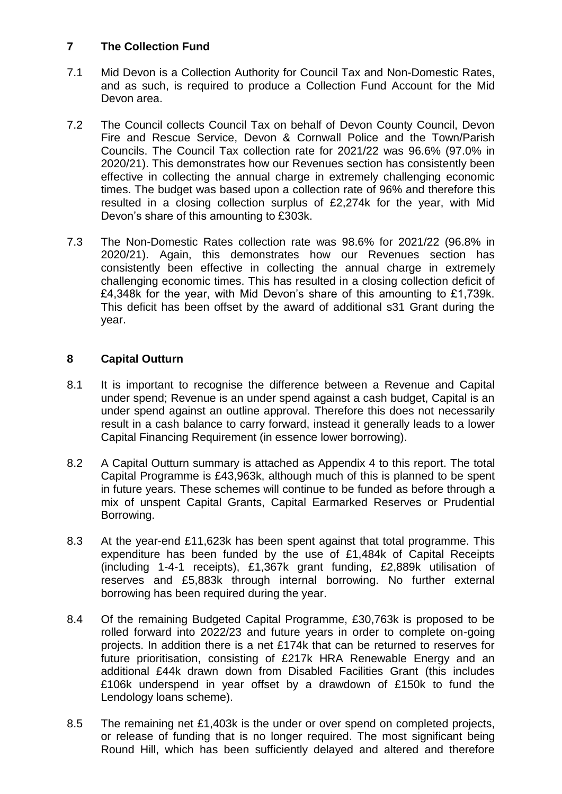### **7 The Collection Fund**

- 7.1 Mid Devon is a Collection Authority for Council Tax and Non-Domestic Rates, and as such, is required to produce a Collection Fund Account for the Mid Devon area.
- 7.2 The Council collects Council Tax on behalf of Devon County Council, Devon Fire and Rescue Service, Devon & Cornwall Police and the Town/Parish Councils. The Council Tax collection rate for 2021/22 was 96.6% (97.0% in 2020/21). This demonstrates how our Revenues section has consistently been effective in collecting the annual charge in extremely challenging economic times. The budget was based upon a collection rate of 96% and therefore this resulted in a closing collection surplus of £2,274k for the year, with Mid Devon's share of this amounting to £303k.
- 7.3 The Non-Domestic Rates collection rate was 98.6% for 2021/22 (96.8% in 2020/21). Again, this demonstrates how our Revenues section has consistently been effective in collecting the annual charge in extremely challenging economic times. This has resulted in a closing collection deficit of £4,348k for the year, with Mid Devon's share of this amounting to £1,739k. This deficit has been offset by the award of additional s31 Grant during the year.

## **8 Capital Outturn**

- 8.1 It is important to recognise the difference between a Revenue and Capital under spend; Revenue is an under spend against a cash budget, Capital is an under spend against an outline approval. Therefore this does not necessarily result in a cash balance to carry forward, instead it generally leads to a lower Capital Financing Requirement (in essence lower borrowing).
- 8.2 A Capital Outturn summary is attached as Appendix 4 to this report. The total Capital Programme is £43,963k, although much of this is planned to be spent in future years. These schemes will continue to be funded as before through a mix of unspent Capital Grants, Capital Earmarked Reserves or Prudential Borrowing.
- 8.3 At the year-end £11,623k has been spent against that total programme. This expenditure has been funded by the use of £1,484k of Capital Receipts (including 1-4-1 receipts), £1,367k grant funding, £2,889k utilisation of reserves and £5,883k through internal borrowing. No further external borrowing has been required during the year.
- 8.4 Of the remaining Budgeted Capital Programme, £30,763k is proposed to be rolled forward into 2022/23 and future years in order to complete on-going projects. In addition there is a net £174k that can be returned to reserves for future prioritisation, consisting of £217k HRA Renewable Energy and an additional £44k drawn down from Disabled Facilities Grant (this includes £106k underspend in year offset by a drawdown of £150k to fund the Lendology loans scheme).
- 8.5 The remaining net £1,403k is the under or over spend on completed projects, or release of funding that is no longer required. The most significant being Round Hill, which has been sufficiently delayed and altered and therefore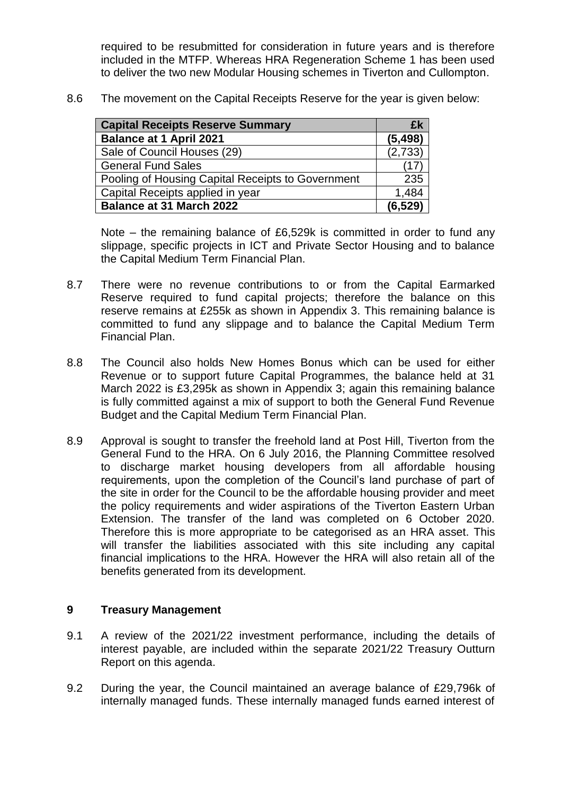required to be resubmitted for consideration in future years and is therefore included in the MTFP. Whereas HRA Regeneration Scheme 1 has been used to deliver the two new Modular Housing schemes in Tiverton and Cullompton.

8.6 The movement on the Capital Receipts Reserve for the year is given below:

| <b>Capital Receipts Reserve Summary</b>           | £k       |
|---------------------------------------------------|----------|
| <b>Balance at 1 April 2021</b>                    | (5, 498) |
| Sale of Council Houses (29)                       | (2,733)  |
| <b>General Fund Sales</b>                         | (17      |
| Pooling of Housing Capital Receipts to Government | 235      |
| Capital Receipts applied in year                  | 1,484    |
| <b>Balance at 31 March 2022</b>                   | (6.529)  |

Note – the remaining balance of £6,529k is committed in order to fund any slippage, specific projects in ICT and Private Sector Housing and to balance the Capital Medium Term Financial Plan.

- 8.7 There were no revenue contributions to or from the Capital Earmarked Reserve required to fund capital projects; therefore the balance on this reserve remains at £255k as shown in Appendix 3. This remaining balance is committed to fund any slippage and to balance the Capital Medium Term Financial Plan.
- 8.8 The Council also holds New Homes Bonus which can be used for either Revenue or to support future Capital Programmes, the balance held at 31 March 2022 is £3,295k as shown in Appendix 3; again this remaining balance is fully committed against a mix of support to both the General Fund Revenue Budget and the Capital Medium Term Financial Plan.
- 8.9 Approval is sought to transfer the freehold land at Post Hill, Tiverton from the General Fund to the HRA. On 6 July 2016, the Planning Committee resolved to discharge market housing developers from all affordable housing requirements, upon the completion of the Council's land purchase of part of the site in order for the Council to be the affordable housing provider and meet the policy requirements and wider aspirations of the Tiverton Eastern Urban Extension. The transfer of the land was completed on 6 October 2020. Therefore this is more appropriate to be categorised as an HRA asset. This will transfer the liabilities associated with this site including any capital financial implications to the HRA. However the HRA will also retain all of the benefits generated from its development.

#### **9 Treasury Management**

- 9.1 A review of the 2021/22 investment performance, including the details of interest payable, are included within the separate 2021/22 Treasury Outturn Report on this agenda.
- 9.2 During the year, the Council maintained an average balance of £29,796k of internally managed funds. These internally managed funds earned interest of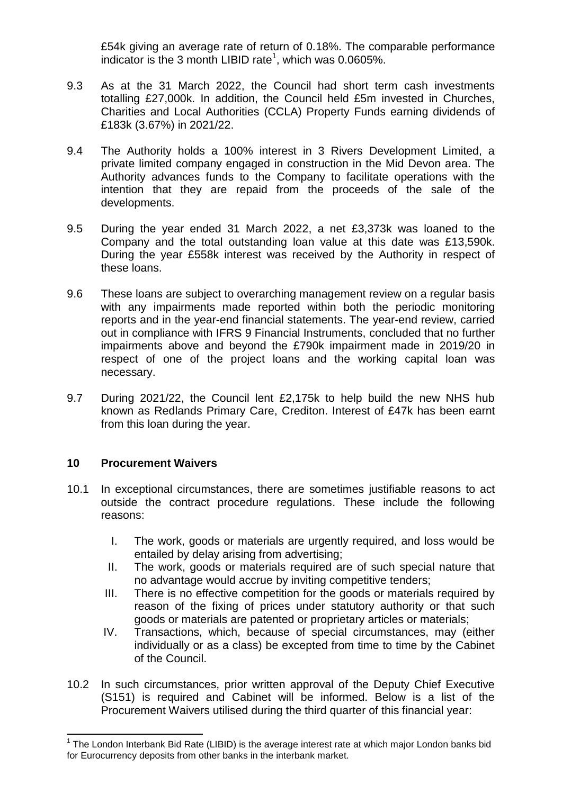£54k giving an average rate of return of 0.18%. The comparable performance indicator is the 3 month LIBID rate<sup>1</sup>, which was  $0.0605\%$ .

- 9.3 As at the 31 March 2022, the Council had short term cash investments totalling £27,000k. In addition, the Council held £5m invested in Churches, Charities and Local Authorities (CCLA) Property Funds earning dividends of £183k (3.67%) in 2021/22.
- 9.4 The Authority holds a 100% interest in 3 Rivers Development Limited, a private limited company engaged in construction in the Mid Devon area. The Authority advances funds to the Company to facilitate operations with the intention that they are repaid from the proceeds of the sale of the developments.
- 9.5 During the year ended 31 March 2022, a net £3,373k was loaned to the Company and the total outstanding loan value at this date was £13,590k. During the year £558k interest was received by the Authority in respect of these loans.
- 9.6 These loans are subject to overarching management review on a regular basis with any impairments made reported within both the periodic monitoring reports and in the year-end financial statements. The year-end review, carried out in compliance with IFRS 9 Financial Instruments, concluded that no further impairments above and beyond the £790k impairment made in 2019/20 in respect of one of the project loans and the working capital loan was necessary.
- 9.7 During 2021/22, the Council lent £2,175k to help build the new NHS hub known as Redlands Primary Care, Crediton. Interest of £47k has been earnt from this loan during the year.

#### **10 Procurement Waivers**

 $\overline{a}$ 

- 10.1 In exceptional circumstances, there are sometimes justifiable reasons to act outside the contract procedure regulations. These include the following reasons:
	- I. The work, goods or materials are urgently required, and loss would be entailed by delay arising from advertising;
	- II. The work, goods or materials required are of such special nature that no advantage would accrue by inviting competitive tenders;
	- III. There is no effective competition for the goods or materials required by reason of the fixing of prices under statutory authority or that such goods or materials are patented or proprietary articles or materials;
	- IV. Transactions, which, because of special circumstances, may (either individually or as a class) be excepted from time to time by the Cabinet of the Council.
- 10.2 In such circumstances, prior written approval of the Deputy Chief Executive (S151) is required and Cabinet will be informed. Below is a list of the Procurement Waivers utilised during the third quarter of this financial year:

<sup>&</sup>lt;sup>1</sup> The London Interbank Bid Rate (LIBID) is the average interest rate at which major London banks bid for Eurocurrency deposits from other banks in the interbank market.